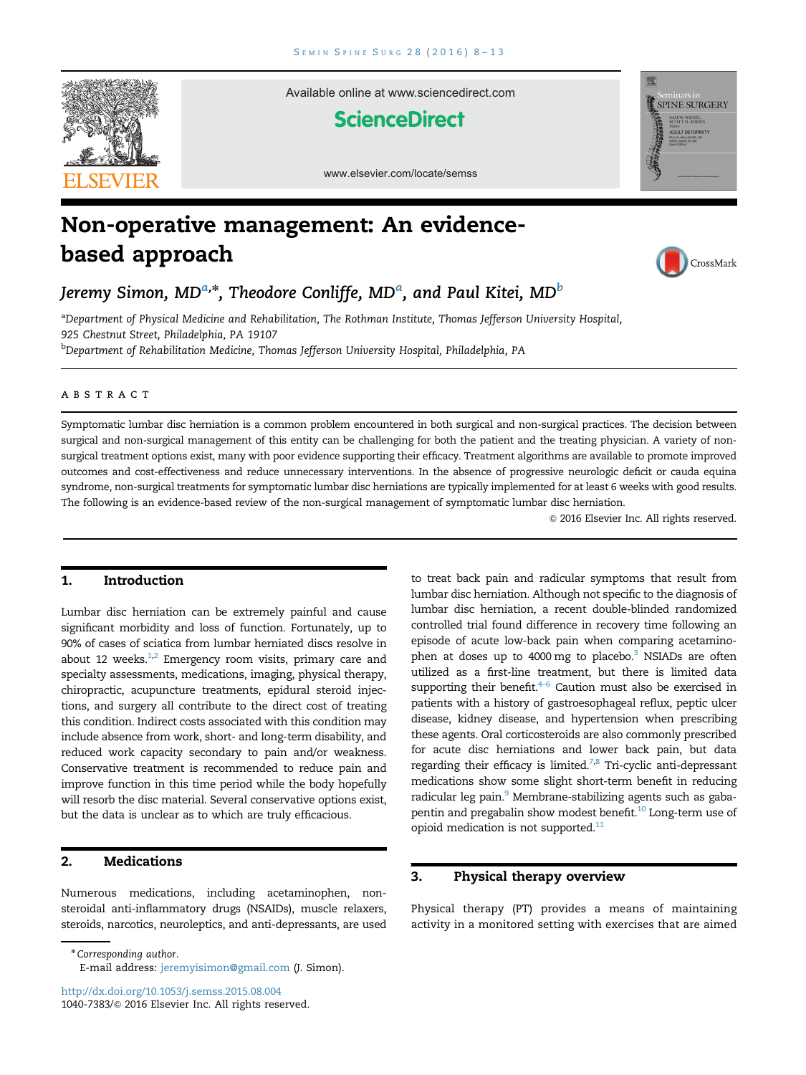

Available online at www.sciencedirect.com

# **ScienceDirect**



www.elsevier.com/locate/semss

# Non-operative management: An evidencebased approach



Jeremy Simon, MD<sup>a,</sup>\*, Theodore Conliffe, MD<sup>a</sup>, and Paul Kitei, MD<sup>b</sup>

a Department of Physical Medicine and Rehabilitation, The Rothman Institute, Thomas Jefferson University Hospital, 925 Chestnut Street, Philadelphia, PA 19107

<sup>b</sup>Department of Rehabilitation Medicine, Thomas Jefferson University Hospital, Philadelphia, PA

# abstract

Symptomatic lumbar disc herniation is a common problem encountered in both surgical and non-surgical practices. The decision between surgical and non-surgical management of this entity can be challenging for both the patient and the treating physician. A variety of nonsurgical treatment options exist, many with poor evidence supporting their efficacy. Treatment algorithms are available to promote improved outcomes and cost-effectiveness and reduce unnecessary interventions. In the absence of progressive neurologic deficit or cauda equina syndrome, non-surgical treatments for symptomatic lumbar disc herniations are typically implemented for at least 6 weeks with good results. The following is an evidence-based review of the non-surgical management of symptomatic lumbar disc herniation.

 $©$  2016 Elsevier Inc. All rights reserved.

# 1. Introduction

Lumbar disc herniation can be extremely painful and cause significant morbidity and loss of function. Fortunately, up to 90% of cases of sciatica from lumbar herniated discs resolve in about 12 weeks. $^{1,2}$  $^{1,2}$  $^{1,2}$  Emergency room visits, primary care and specialty assessments, medications, imaging, physical therapy, chiropractic, acupuncture treatments, epidural steroid injections, and surgery all contribute to the direct cost of treating this condition. Indirect costs associated with this condition may include absence from work, short- and long-term disability, and reduced work capacity secondary to pain and/or weakness. Conservative treatment is recommended to reduce pain and improve function in this time period while the body hopefully will resorb the disc material. Several conservative options exist, but the data is unclear as to which are truly efficacious.

# 2. Medications

Numerous medications, including acetaminophen, nonsteroidal anti-inflammatory drugs (NSAIDs), muscle relaxers, steroids, narcotics, neuroleptics, and anti-depressants, are used

\*Corresponding author.

to treat back pain and radicular symptoms that result from lumbar disc herniation. Although not specific to the diagnosis of lumbar disc herniation, a recent double-blinded randomized controlled trial found difference in recovery time following an episode of acute low-back pain when comparing acetaminophen at doses up to 4000 mg to placebo.<sup>3</sup> NSIADs are often utilized as a first-line treatment, but there is limited data supporting their benefit. $4-6$  Caution must also be exercised in patients with a history of gastroesophageal reflux, peptic ulcer disease, kidney disease, and hypertension when prescribing these agents. Oral corticosteroids are also commonly prescribed for acute disc herniations and lower back pain, but data regarding their efficacy is limited. $^{7,8}$  Tri-cyclic anti-depressant medications show some slight short-term benefit in reducing radicular leg pain.<sup>[9](#page-4-0)</sup> Membrane-stabilizing agents such as gaba-pentin and pregabalin show modest benefit.<sup>[10](#page-4-0)</sup> Long-term use of opioid medication is not supported.<sup>[11](#page-4-0)</sup>

# 3. Physical therapy overview

Physical therapy (PT) provides a means of maintaining activity in a monitored setting with exercises that are aimed

E-mail address: [jeremyisimon@gmail.com](mailto:jeremyisimon@gmail.com) (J. Simon).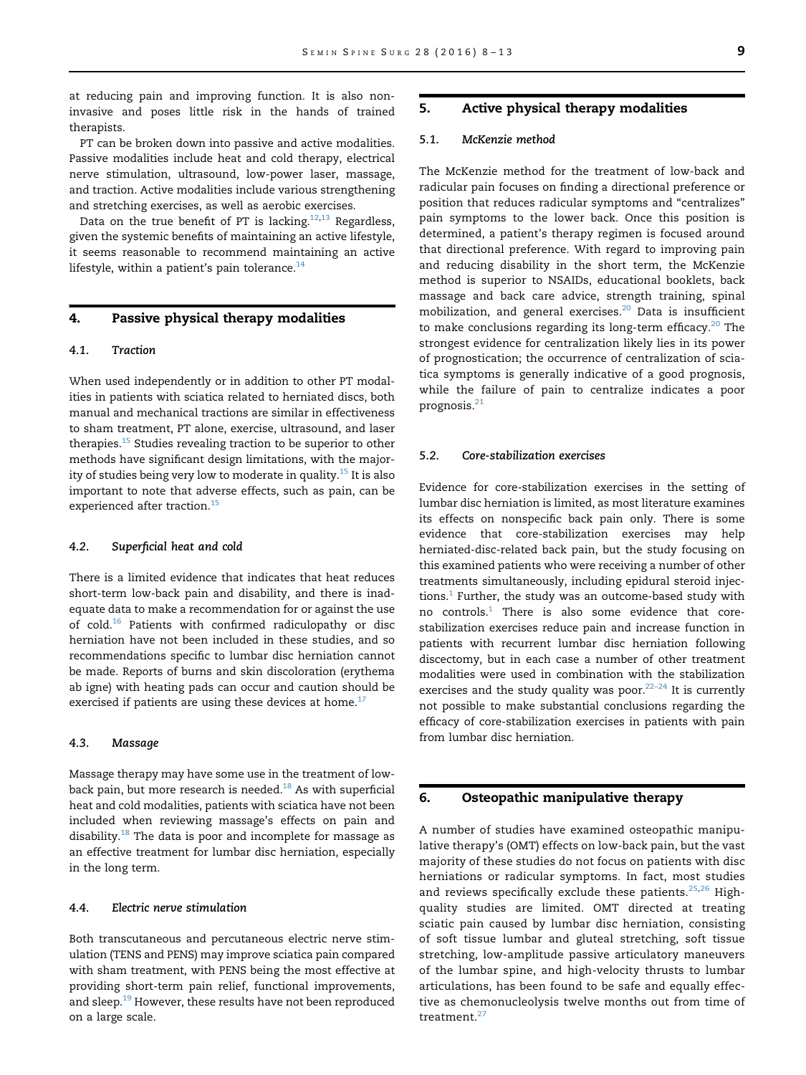at reducing pain and improving function. It is also noninvasive and poses little risk in the hands of trained therapists.

PT can be broken down into passive and active modalities. Passive modalities include heat and cold therapy, electrical nerve stimulation, ultrasound, low-power laser, massage, and traction. Active modalities include various strengthening and stretching exercises, as well as aerobic exercises.

Data on the true benefit of PT is lacking.<sup>12,13</sup> Regardless, given the systemic benefits of maintaining an active lifestyle, it seems reasonable to recommend maintaining an active lifestyle, within a patient's pain tolerance. $14$ 

# 4. Passive physical therapy modalities

#### 4.1. Traction

When used independently or in addition to other PT modalities in patients with sciatica related to herniated discs, both manual and mechanical tractions are similar in effectiveness to sham treatment, PT alone, exercise, ultrasound, and laser therapies.<sup>[15](#page-4-0)</sup> Studies revealing traction to be superior to other methods have significant design limitations, with the majority of studies being very low to moderate in quality.<sup>15</sup> It is also important to note that adverse effects, such as pain, can be experienced after traction.<sup>15</sup>

#### 4.2. Superficial heat and cold

There is a limited evidence that indicates that heat reduces short-term low-back pain and disability, and there is inadequate data to make a recommendation for or against the use of cold.<sup>[16](#page-4-0)</sup> Patients with confirmed radiculopathy or disc herniation have not been included in these studies, and so recommendations specific to lumbar disc herniation cannot be made. Reports of burns and skin discoloration (erythema ab igne) with heating pads can occur and caution should be exercised if patients are using these devices at home. $17$ 

#### 4.3. Massage

Massage therapy may have some use in the treatment of lowback pain, but more research is needed.<sup>18</sup> As with superficial heat and cold modalities, patients with sciatica have not been included when reviewing massage's effects on pain and disability.<sup>[18](#page-4-0)</sup> The data is poor and incomplete for massage as an effective treatment for lumbar disc herniation, especially in the long term.

#### 4.4. Electric nerve stimulation

Both transcutaneous and percutaneous electric nerve stimulation (TENS and PENS) may improve sciatica pain compared with sham treatment, with PENS being the most effective at providing short-term pain relief, functional improvements, and sleep.<sup>19</sup> However, these results have not been reproduced on a large scale.

#### 5. Active physical therapy modalities

#### 5.1. McKenzie method

The McKenzie method for the treatment of low-back and radicular pain focuses on finding a directional preference or position that reduces radicular symptoms and "centralizes" pain symptoms to the lower back. Once this position is determined, a patient's therapy regimen is focused around that directional preference. With regard to improving pain and reducing disability in the short term, the McKenzie method is superior to NSAIDs, educational booklets, back massage and back care advice, strength training, spinal mobilization, and general exercises.<sup>[20](#page-5-0)</sup> Data is insufficient to make conclusions regarding its long-term efficacy. $20$  The strongest evidence for centralization likely lies in its power of prognostication; the occurrence of centralization of sciatica symptoms is generally indicative of a good prognosis, while the failure of pain to centralize indicates a poor prognosis.[21](#page-5-0)

# 5.2. Core-stabilization exercises

Evidence for core-stabilization exercises in the setting of lumbar disc herniation is limited, as most literature examines its effects on nonspecific back pain only. There is some evidence that core-stabilization exercises may help herniated-disc-related back pain, but the study focusing on this examined patients who were receiving a number of other treatments simultaneously, including epidural steroid injections. $1$  Further, the study was an outcome-based study with no controls.<sup>[1](#page-4-0)</sup> There is also some evidence that corestabilization exercises reduce pain and increase function in patients with recurrent lumbar disc herniation following discectomy, but in each case a number of other treatment modalities were used in combination with the stabilization exercises and the study quality was poor. $22-24$  It is currently not possible to make substantial conclusions regarding the efficacy of core-stabilization exercises in patients with pain from lumbar disc herniation.

# 6. Osteopathic manipulative therapy

A number of studies have examined osteopathic manipulative therapy's (OMT) effects on low-back pain, but the vast majority of these studies do not focus on patients with disc herniations or radicular symptoms. In fact, most studies and reviews specifically exclude these patients. $25,26$  $25,26$  $25,26$  Highquality studies are limited. OMT directed at treating sciatic pain caused by lumbar disc herniation, consisting of soft tissue lumbar and gluteal stretching, soft tissue stretching, low-amplitude passive articulatory maneuvers of the lumbar spine, and high-velocity thrusts to lumbar articulations, has been found to be safe and equally effective as chemonucleolysis twelve months out from time of treatment.<sup>[27](#page-5-0)</sup>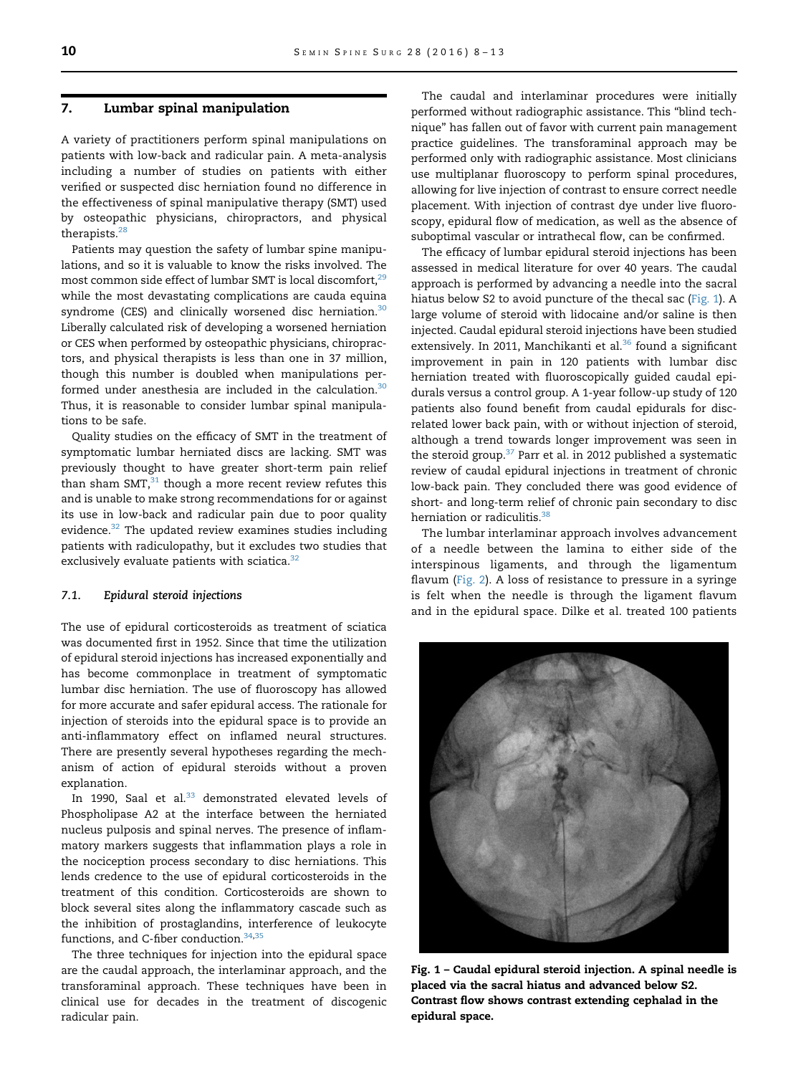# 7. Lumbar spinal manipulation

A variety of practitioners perform spinal manipulations on patients with low-back and radicular pain. A meta-analysis including a number of studies on patients with either verified or suspected disc herniation found no difference in the effectiveness of spinal manipulative therapy (SMT) used by osteopathic physicians, chiropractors, and physical therapists.[28](#page-5-0)

Patients may question the safety of lumbar spine manipulations, and so it is valuable to know the risks involved. The most common side effect of lumbar SMT is local discomfort,<sup>29</sup> while the most devastating complications are cauda equina syndrome (CES) and clinically worsened disc herniation.<sup>30</sup> Liberally calculated risk of developing a worsened herniation or CES when performed by osteopathic physicians, chiropractors, and physical therapists is less than one in 37 million, though this number is doubled when manipulations performed under anesthesia are included in the calculation. $30$ Thus, it is reasonable to consider lumbar spinal manipulations to be safe.

Quality studies on the efficacy of SMT in the treatment of symptomatic lumbar herniated discs are lacking. SMT was previously thought to have greater short-term pain relief than sham SMT, $^{31}$  $^{31}$  $^{31}$  though a more recent review refutes this and is unable to make strong recommendations for or against its use in low-back and radicular pain due to poor quality evidence.[32](#page-5-0) The updated review examines studies including patients with radiculopathy, but it excludes two studies that exclusively evaluate patients with sciatica.<sup>[32](#page-5-0)</sup>

# 7.1. Epidural steroid injections

The use of epidural corticosteroids as treatment of sciatica was documented first in 1952. Since that time the utilization of epidural steroid injections has increased exponentially and has become commonplace in treatment of symptomatic lumbar disc herniation. The use of fluoroscopy has allowed for more accurate and safer epidural access. The rationale for injection of steroids into the epidural space is to provide an anti-inflammatory effect on inflamed neural structures. There are presently several hypotheses regarding the mechanism of action of epidural steroids without a proven explanation.

In 1990, Saal et al.<sup>[33](#page-5-0)</sup> demonstrated elevated levels of Phospholipase A2 at the interface between the herniated nucleus pulposis and spinal nerves. The presence of inflammatory markers suggests that inflammation plays a role in the nociception process secondary to disc herniations. This lends credence to the use of epidural corticosteroids in the treatment of this condition. Corticosteroids are shown to block several sites along the inflammatory cascade such as the inhibition of prostaglandins, interference of leukocyte functions, and C-fiber conduction.<sup>[34](#page-5-0),[35](#page-5-0)</sup>

The three techniques for injection into the epidural space are the caudal approach, the interlaminar approach, and the transforaminal approach. These techniques have been in clinical use for decades in the treatment of discogenic radicular pain.

The caudal and interlaminar procedures were initially performed without radiographic assistance. This "blind technique" has fallen out of favor with current pain management practice guidelines. The transforaminal approach may be performed only with radiographic assistance. Most clinicians use multiplanar fluoroscopy to perform spinal procedures, allowing for live injection of contrast to ensure correct needle placement. With injection of contrast dye under live fluoroscopy, epidural flow of medication, as well as the absence of suboptimal vascular or intrathecal flow, can be confirmed.

The efficacy of lumbar epidural steroid injections has been assessed in medical literature for over 40 years. The caudal approach is performed by advancing a needle into the sacral hiatus below S2 to avoid puncture of the thecal sac (Fig. 1). A large volume of steroid with lidocaine and/or saline is then injected. Caudal epidural steroid injections have been studied extensively. In 2011, Manchikanti et al.<sup>[36](#page-5-0)</sup> found a significant improvement in pain in 120 patients with lumbar disc herniation treated with fluoroscopically guided caudal epidurals versus a control group. A 1-year follow-up study of 120 patients also found benefit from caudal epidurals for discrelated lower back pain, with or without injection of steroid, although a trend towards longer improvement was seen in the steroid group.<sup>[37](#page-5-0)</sup> Parr et al. in 2012 published a systematic review of caudal epidural injections in treatment of chronic low-back pain. They concluded there was good evidence of short- and long-term relief of chronic pain secondary to disc herniation or radiculitis.<sup>[38](#page-5-0)</sup>

The lumbar interlaminar approach involves advancement of a needle between the lamina to either side of the interspinous ligaments, and through the ligamentum flavum [\(Fig. 2\)](#page-3-0). A loss of resistance to pressure in a syringe is felt when the needle is through the ligament flavum and in the epidural space. Dilke et al. treated 100 patients



Fig. 1 – Caudal epidural steroid injection. A spinal needle is placed via the sacral hiatus and advanced below S2. Contrast flow shows contrast extending cephalad in the epidural space.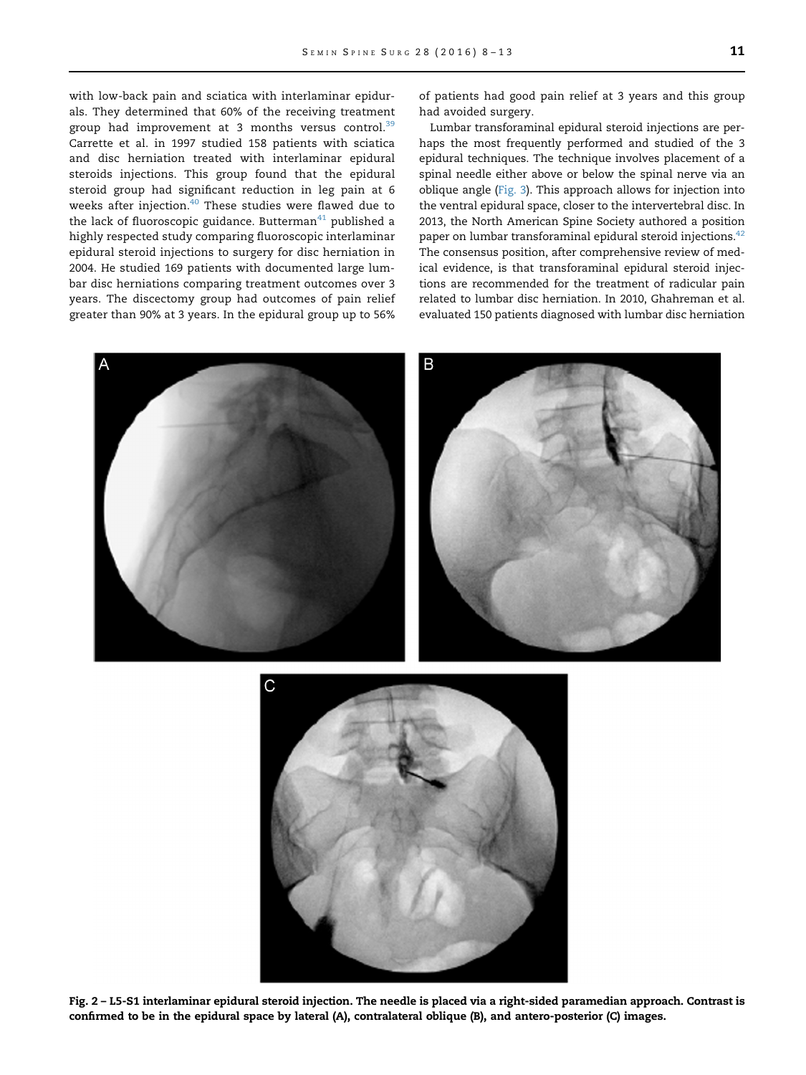<span id="page-3-0"></span>with low-back pain and sciatica with interlaminar epidurals. They determined that 60% of the receiving treatment group had improvement at 3 months versus control.<sup>[39](#page-5-0)</sup> Carrette et al. in 1997 studied 158 patients with sciatica and disc herniation treated with interlaminar epidural steroids injections. This group found that the epidural steroid group had significant reduction in leg pain at 6 weeks after injection.<sup>[40](#page-5-0)</sup> These studies were flawed due to the lack of fluoroscopic guidance. Butterman $41$  published a highly respected study comparing fluoroscopic interlaminar epidural steroid injections to surgery for disc herniation in 2004. He studied 169 patients with documented large lumbar disc herniations comparing treatment outcomes over 3 years. The discectomy group had outcomes of pain relief greater than 90% at 3 years. In the epidural group up to 56%

of patients had good pain relief at 3 years and this group had avoided surgery.

Lumbar transforaminal epidural steroid injections are perhaps the most frequently performed and studied of the 3 epidural techniques. The technique involves placement of a spinal needle either above or below the spinal nerve via an oblique angle [\(Fig. 3\)](#page-4-0). This approach allows for injection into the ventral epidural space, closer to the intervertebral disc. In 2013, the North American Spine Society authored a position paper on lumbar transforaminal epidural steroid injections.<sup>42</sup> The consensus position, after comprehensive review of medical evidence, is that transforaminal epidural steroid injections are recommended for the treatment of radicular pain related to lumbar disc herniation. In 2010, Ghahreman et al. evaluated 150 patients diagnosed with lumbar disc herniation





Fig. 2 – L5-S1 interlaminar epidural steroid injection. The needle is placed via a right-sided paramedian approach. Contrast is confirmed to be in the epidural space by lateral (A), contralateral oblique (B), and antero-posterior (C) images.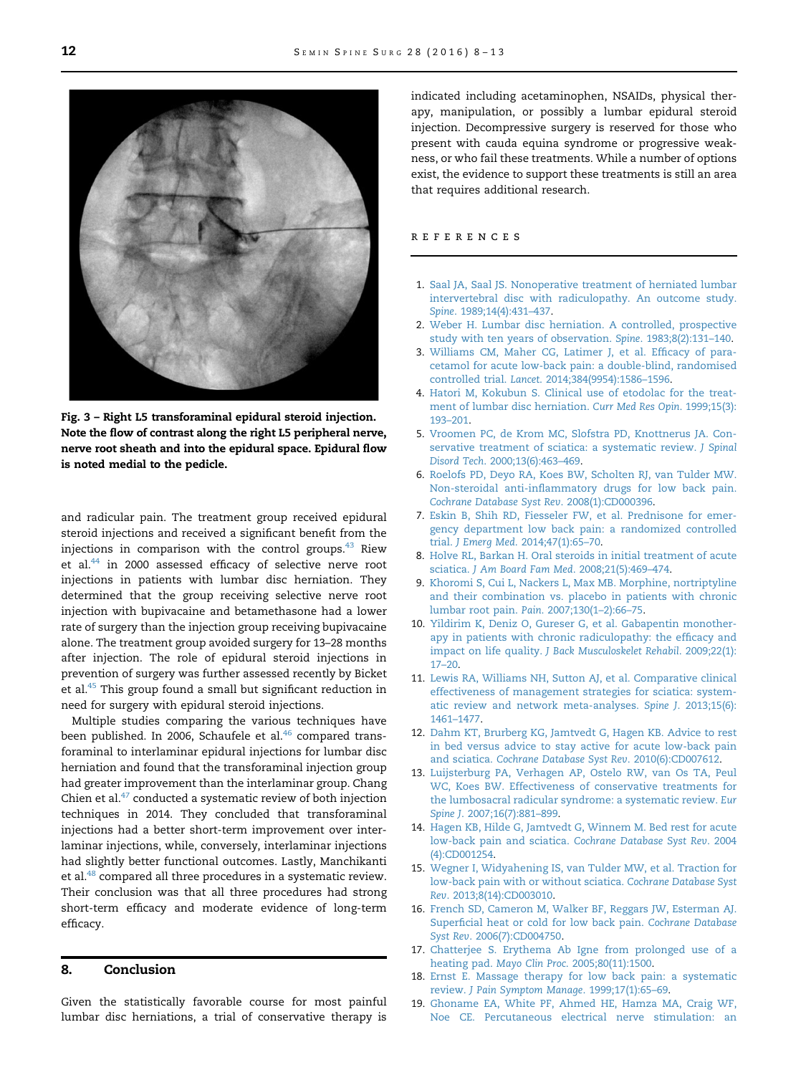<span id="page-4-0"></span>

Fig. 3 – Right L5 transforaminal epidural steroid injection. Note the flow of contrast along the right L5 peripheral nerve, nerve root sheath and into the epidural space. Epidural flow is noted medial to the pedicle.

and radicular pain. The treatment group received epidural steroid injections and received a significant benefit from the injections in comparison with the control groups. $43$  Riew et al.<sup>44</sup> in 2000 assessed efficacy of selective nerve root injections in patients with lumbar disc herniation. They determined that the group receiving selective nerve root injection with bupivacaine and betamethasone had a lower rate of surgery than the injection group receiving bupivacaine alone. The treatment group avoided surgery for 13–28 months after injection. The role of epidural steroid injections in prevention of surgery was further assessed recently by Bicket et al.<sup>[45](#page-5-0)</sup> This group found a small but significant reduction in need for surgery with epidural steroid injections.

Multiple studies comparing the various techniques have been published. In 2006, Schaufele et al.<sup>[46](#page-5-0)</sup> compared transforaminal to interlaminar epidural injections for lumbar disc herniation and found that the transforaminal injection group had greater improvement than the interlaminar group. Chang Chien et al. $47$  conducted a systematic review of both injection techniques in 2014. They concluded that transforaminal injections had a better short-term improvement over interlaminar injections, while, conversely, interlaminar injections had slightly better functional outcomes. Lastly, Manchikanti et al.<sup>48</sup> compared all three procedures in a systematic review. Their conclusion was that all three procedures had strong short-term efficacy and moderate evidence of long-term efficacy.

# 8. Conclusion

Given the statistically favorable course for most painful lumbar disc herniations, a trial of conservative therapy is indicated including acetaminophen, NSAIDs, physical therapy, manipulation, or possibly a lumbar epidural steroid injection. Decompressive surgery is reserved for those who present with cauda equina syndrome or progressive weakness, or who fail these treatments. While a number of options exist, the evidence to support these treatments is still an area that requires additional research.

#### references

- 1. [Saal JA, Saal JS. Nonoperative treatment of herniated lumbar](http://refhub.elsevier.com/S1040-7383(15)00096-9/sbref1) [intervertebral disc with radiculopathy. An outcome study.](http://refhub.elsevier.com/S1040-7383(15)00096-9/sbref1) Spine[. 1989;14\(4\):431](http://refhub.elsevier.com/S1040-7383(15)00096-9/sbref1)–437.
- 2. [Weber H. Lumbar disc herniation. A controlled, prospective](http://refhub.elsevier.com/S1040-7383(15)00096-9/sbref2) [study with ten years of observation.](http://refhub.elsevier.com/S1040-7383(15)00096-9/sbref2) Spine. 1983;8(2):131–140.
- 3. [Williams CM, Maher CG, Latimer J, et al. Ef](http://refhub.elsevier.com/S1040-7383(15)00096-9/sbref3)ficacy of para[cetamol for acute low-back pain: a double-blind, randomised](http://refhub.elsevier.com/S1040-7383(15)00096-9/sbref3) controlled trial. Lancet[. 2014;384\(9954\):1586](http://refhub.elsevier.com/S1040-7383(15)00096-9/sbref3)–1596.
- 4. [Hatori M, Kokubun S. Clinical use of etodolac for the treat](http://refhub.elsevier.com/S1040-7383(15)00096-9/sbref4)[ment of lumbar disc herniation.](http://refhub.elsevier.com/S1040-7383(15)00096-9/sbref4) Curr Med Res Opin. 1999;15(3): 193–[201.](http://refhub.elsevier.com/S1040-7383(15)00096-9/sbref4)
- 5. [Vroomen PC, de Krom MC, Slofstra PD, Knottnerus JA. Con](http://refhub.elsevier.com/S1040-7383(15)00096-9/sbref5)[servative treatment of sciatica: a systematic review.](http://refhub.elsevier.com/S1040-7383(15)00096-9/sbref5) J Spinal Disord Tech[. 2000;13\(6\):463](http://refhub.elsevier.com/S1040-7383(15)00096-9/sbref5)–469.
- 6. [Roelofs PD, Deyo RA, Koes BW, Scholten RJ, van Tulder MW.](http://refhub.elsevier.com/S1040-7383(15)00096-9/sbref6) Non-steroidal anti-infl[ammatory drugs for low back pain.](http://refhub.elsevier.com/S1040-7383(15)00096-9/sbref6) [Cochrane Database Syst Rev](http://refhub.elsevier.com/S1040-7383(15)00096-9/sbref6). 2008(1):CD000396.
- 7. [Eskin B, Shih RD, Fiesseler FW, et al. Prednisone for emer](http://refhub.elsevier.com/S1040-7383(15)00096-9/sbref7)[gency department low back pain: a randomized controlled](http://refhub.elsevier.com/S1040-7383(15)00096-9/sbref7) trial. J Emerg Med[. 2014;47\(1\):65](http://refhub.elsevier.com/S1040-7383(15)00096-9/sbref7)–70.
- 8. [Holve RL, Barkan H. Oral steroids in initial treatment of acute](http://refhub.elsevier.com/S1040-7383(15)00096-9/sbref8) sciatica. [J Am Board Fam Med](http://refhub.elsevier.com/S1040-7383(15)00096-9/sbref8). 2008;21(5):469–474.
- 9. [Khoromi S, Cui L, Nackers L, Max MB. Morphine, nortriptyline](http://refhub.elsevier.com/S1040-7383(15)00096-9/sbref9) [and their combination vs. placebo in patients with chronic](http://refhub.elsevier.com/S1040-7383(15)00096-9/sbref9) [lumbar root pain.](http://refhub.elsevier.com/S1040-7383(15)00096-9/sbref9) Pain. 2007;130(1–2):66–75.
- 10. [Yildirim K, Deniz O, Gureser G, et al. Gabapentin monother](http://refhub.elsevier.com/S1040-7383(15)00096-9/sbref10)[apy in patients with chronic radiculopathy: the ef](http://refhub.elsevier.com/S1040-7383(15)00096-9/sbref10)ficacy and impact on life quality. [J Back Musculoskelet Rehabil](http://refhub.elsevier.com/S1040-7383(15)00096-9/sbref10). 2009;22(1):  $17-20.$  $17-20.$
- 11. [Lewis RA, Williams NH, Sutton AJ, et al. Comparative clinical](http://refhub.elsevier.com/S1040-7383(15)00096-9/sbref11) [effectiveness of management strategies for sciatica: system](http://refhub.elsevier.com/S1040-7383(15)00096-9/sbref11)[atic review and network meta-analyses.](http://refhub.elsevier.com/S1040-7383(15)00096-9/sbref11) Spine J. 2013;15(6): 1461–[1477.](http://refhub.elsevier.com/S1040-7383(15)00096-9/sbref11)
- 12. [Dahm KT, Brurberg KG, Jamtvedt G, Hagen KB. Advice to rest](http://refhub.elsevier.com/S1040-7383(15)00096-9/sbref12) [in bed versus advice to stay active for acute low-back pain](http://refhub.elsevier.com/S1040-7383(15)00096-9/sbref12) and sciatica. [Cochrane Database Syst Rev](http://refhub.elsevier.com/S1040-7383(15)00096-9/sbref12). 2010(6):CD007612.
- 13. [Luijsterburg PA, Verhagen AP, Ostelo RW, van Os TA, Peul](http://refhub.elsevier.com/S1040-7383(15)00096-9/sbref13) [WC, Koes BW. Effectiveness of conservative treatments for](http://refhub.elsevier.com/S1040-7383(15)00096-9/sbref13) [the lumbosacral radicular syndrome: a systematic review.](http://refhub.elsevier.com/S1040-7383(15)00096-9/sbref13) Eur Spine J[. 2007;16\(7\):881](http://refhub.elsevier.com/S1040-7383(15)00096-9/sbref13)–899.
- 14. [Hagen KB, Hilde G, Jamtvedt G, Winnem M. Bed rest for acute](http://refhub.elsevier.com/S1040-7383(15)00096-9/sbref14) [low-back pain and sciatica.](http://refhub.elsevier.com/S1040-7383(15)00096-9/sbref14) Cochrane Database Syst Rev. 2004 [\(4\):CD001254.](http://refhub.elsevier.com/S1040-7383(15)00096-9/sbref14)
- 15. [Wegner I, Widyahening IS, van Tulder MW, et al. Traction for](http://refhub.elsevier.com/S1040-7383(15)00096-9/sbref15) [low-back pain with or without sciatica.](http://refhub.elsevier.com/S1040-7383(15)00096-9/sbref15) Cochrane Database Syst Rev[. 2013;8\(14\):CD003010.](http://refhub.elsevier.com/S1040-7383(15)00096-9/sbref15)
- 16. [French SD, Cameron M, Walker BF, Reggars JW, Esterman AJ.](http://refhub.elsevier.com/S1040-7383(15)00096-9/sbref16) Superfi[cial heat or cold for low back pain.](http://refhub.elsevier.com/S1040-7383(15)00096-9/sbref16) Cochrane Database Syst Rev[. 2006\(7\):CD004750.](http://refhub.elsevier.com/S1040-7383(15)00096-9/sbref16)
- 17. [Chatterjee S. Erythema Ab Igne from prolonged use of a](http://refhub.elsevier.com/S1040-7383(15)00096-9/sbref17) heating pad. Mayo Clin Proc[. 2005;80\(11\):1500.](http://refhub.elsevier.com/S1040-7383(15)00096-9/sbref17)
- 18. [Ernst E. Massage therapy for low back pain: a systematic](http://refhub.elsevier.com/S1040-7383(15)00096-9/sbref18) review. [J Pain Symptom Manage](http://refhub.elsevier.com/S1040-7383(15)00096-9/sbref18). 1999;17(1):65–69.
- 19. [Ghoname EA, White PF, Ahmed HE, Hamza MA, Craig WF,](http://refhub.elsevier.com/S1040-7383(15)00096-9/sbref19) [Noe CE. Percutaneous electrical nerve stimulation: an](http://refhub.elsevier.com/S1040-7383(15)00096-9/sbref19)